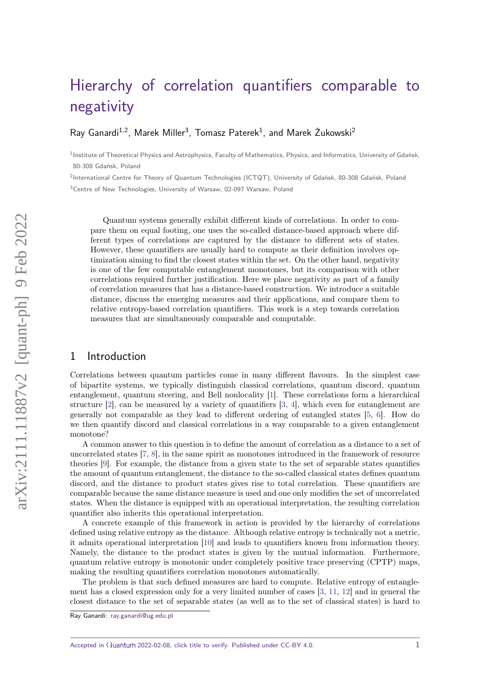# [Hierarchy of correlation quantifiers comparable to](https://quantum-journal.org/?s=Hierarchy%20of%20correlation%20quantifiers%20comparable%20to%20negativity&reason=title-click) [negativity](https://quantum-journal.org/?s=Hierarchy%20of%20correlation%20quantifiers%20comparable%20to%20negativity&reason=title-click)

[Ray Ganardi](https://orcid.org/0000-0002-0880-7816)<sup>1,2</sup>, [Marek Miller](https://orcid.org/0000-0002-1850-4499)<sup>3</sup>, [Tomasz Paterek](https://orcid.org/0000-0002-8490-3156)<sup>1</sup>, and [Marek Żukowski](https://orcid.org/0000-0001-7882-7962)<sup>2</sup>

<sup>1</sup> Institute of Theoretical Physics and Astrophysics, Faculty of Mathematics, Physics, and Informatics, University of Gdańsk, 80-308 Gdańsk, Poland

<sup>2</sup>International Centre for Theory of Quantum Technologies (ICTQT), University of Gdańsk, 80-308 Gdańsk, Poland <sup>3</sup> Centre of New Technologies, University of Warsaw, 02-097 Warsaw, Poland

Quantum systems generally exhibit different kinds of correlations. In order to compare them on equal footing, one uses the so-called distance-based approach where different types of correlations are captured by the distance to different sets of states. However, these quantifiers are usually hard to compute as their definition involves optimization aiming to find the closest states within the set. On the other hand, negativity is one of the few computable entanglement monotones, but its comparison with other correlations required further justification. Here we place negativity as part of a family of correlation measures that has a distance-based construction. We introduce a suitable distance, discuss the emerging measures and their applications, and compare them to relative entropy-based correlation quantifiers. This work is a step towards correlation measures that are simultaneously comparable and computable.

## 1 Introduction

Correlations between quantum particles come in many different flavours. In the simplest case of bipartite systems, we typically distinguish classical correlations, quantum discord, quantum entanglement, quantum steering, and Bell nonlocality [\[1\]](#page-17-0). These correlations form a hierarchical structure  $[2]$ , can be measured by a variety of quantifiers  $[3, 4]$  $[3, 4]$  $[3, 4]$ , which even for entanglement are generally not comparable as they lead to different ordering of entangled states [\[5,](#page-17-4) [6\]](#page-17-5). How do we then quantify discord and classical correlations in a way comparable to a given entanglement monotone?

A common answer to this question is to define the amount of correlation as a distance to a set of uncorrelated states [\[7,](#page-17-6) [8\]](#page-17-7), in the same spirit as monotones introduced in the framework of resource theories [\[9\]](#page-17-8). For example, the distance from a given state to the set of separable states quantifies the amount of quantum entanglement, the distance to the so-called classical states defines quantum discord, and the distance to product states gives rise to total correlation. These quantifiers are comparable because the same distance measure is used and one only modifies the set of uncorrelated states. When the distance is equipped with an operational interpretation, the resulting correlation quantifier also inherits this operational interpretation.

A concrete example of this framework in action is provided by the hierarchy of correlations defined using relative entropy as the distance. Although relative entropy is technically not a metric, it admits operational interpretation [\[10\]](#page-17-9) and leads to quantifiers known from information theory. Namely, the distance to the product states is given by the mutual information. Furthermore, quantum relative entropy is monotonic under completely positive trace preserving (CPTP) maps, making the resulting quantifiers correlation monotones automatically.

The problem is that such defined measures are hard to compute. Relative entropy of entanglement has a closed expression only for a very limited number of cases [\[3,](#page-17-2) [11,](#page-17-10) [12\]](#page-17-11) and in general the closest distance to the set of separable states (as well as to the set of classical states) is hard to

Ray Ganardi: [ray.ganardi@ug.edu.pl](mailto:ray.ganardi@ug.edu.pl)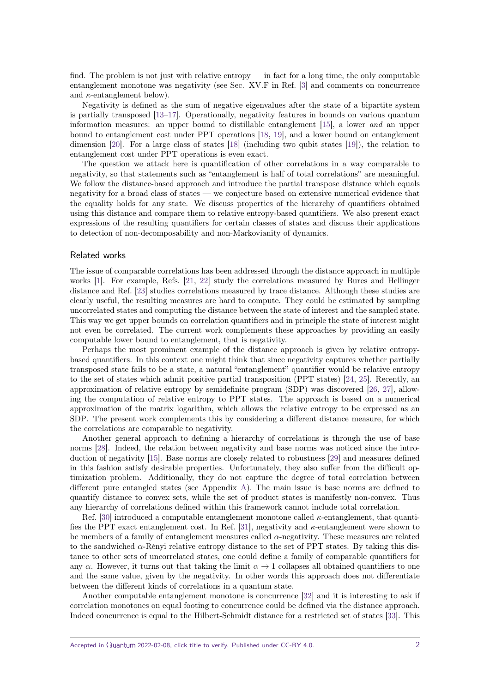find. The problem is not just with relative entropy — in fact for a long time, the only computable entanglement monotone was negativity (see Sec. XV.F in Ref. [\[3\]](#page-17-2) and comments on concurrence and  $\kappa$ -entanglement below).

Negativity is defined as the sum of negative eigenvalues after the state of a bipartite system is partially transposed [\[13](#page-17-12)[–17\]](#page-17-13). Operationally, negativity features in bounds on various quantum information measures: an upper bound to distillable entanglement [\[15\]](#page-17-14), a lower and an upper bound to entanglement cost under PPT operations [\[18,](#page-17-15) [19\]](#page-17-16), and a lower bound on entanglement dimension [\[20\]](#page-17-17). For a large class of states [\[18\]](#page-17-15) (including two qubit states [\[19\]](#page-17-16)), the relation to entanglement cost under PPT operations is even exact.

The question we attack here is quantification of other correlations in a way comparable to negativity, so that statements such as "entanglement is half of total correlations" are meaningful. We follow the distance-based approach and introduce the partial transpose distance which equals negativity for a broad class of states — we conjecture based on extensive numerical evidence that the equality holds for any state. We discuss properties of the hierarchy of quantifiers obtained using this distance and compare them to relative entropy-based quantifiers. We also present exact expressions of the resulting quantifiers for certain classes of states and discuss their applications to detection of non-decomposability and non-Markovianity of dynamics.

## Related works

The issue of comparable correlations has been addressed through the distance approach in multiple works [\[1\]](#page-17-0). For example, Refs. [\[21,](#page-17-18) [22\]](#page-17-19) study the correlations measured by Bures and Hellinger distance and Ref. [\[23\]](#page-17-20) studies correlations measured by trace distance. Although these studies are clearly useful, the resulting measures are hard to compute. They could be estimated by sampling uncorrelated states and computing the distance between the state of interest and the sampled state. This way we get upper bounds on correlation quantifiers and in principle the state of interest might not even be correlated. The current work complements these approaches by providing an easily computable lower bound to entanglement, that is negativity.

Perhaps the most prominent example of the distance approach is given by relative entropybased quantifiers. In this context one might think that since negativity captures whether partially transposed state fails to be a state, a natural "entanglement" quantifier would be relative entropy to the set of states which admit positive partial transposition (PPT states) [\[24,](#page-17-21) [25\]](#page-17-22). Recently, an approximation of relative entropy by semidefinite program (SDP) was discovered [\[26,](#page-17-23) [27\]](#page-17-24), allowing the computation of relative entropy to PPT states. The approach is based on a numerical approximation of the matrix logarithm, which allows the relative entropy to be expressed as an SDP. The present work complements this by considering a different distance measure, for which the correlations are comparable to negativity.

Another general approach to defining a hierarchy of correlations is through the use of base norms [\[28\]](#page-17-25). Indeed, the relation between negativity and base norms was noticed since the introduction of negativity [\[15\]](#page-17-14). Base norms are closely related to robustness [\[29\]](#page-17-26) and measures defined in this fashion satisfy desirable properties. Unfortunately, they also suffer from the difficult optimization problem. Additionally, they do not capture the degree of total correlation between different pure entangled states (see Appendix [A\)](#page-10-0). The main issue is base norms are defined to quantify distance to convex sets, while the set of product states is manifestly non-convex. Thus any hierarchy of correlations defined within this framework cannot include total correlation.

Ref. [\[30\]](#page-17-27) introduced a computable entanglement monotone called *κ*-entanglement, that quantifies the PPT exact entanglement cost. In Ref. [\[31\]](#page-17-28), negativity and *κ*-entanglement were shown to be members of a family of entanglement measures called *α*-negativity. These measures are related to the sandwiched *α*-Rényi relative entropy distance to the set of PPT states. By taking this distance to other sets of uncorrelated states, one could define a family of comparable quantifiers for any  $\alpha$ . However, it turns out that taking the limit  $\alpha \to 1$  collapses all obtained quantifiers to one and the same value, given by the negativity. In other words this approach does not differentiate between the different kinds of correlations in a quantum state.

Another computable entanglement monotone is concurrence [\[32\]](#page-17-29) and it is interesting to ask if correlation monotones on equal footing to concurrence could be defined via the distance approach. Indeed concurrence is equal to the Hilbert-Schmidt distance for a restricted set of states [\[33\]](#page-17-30). This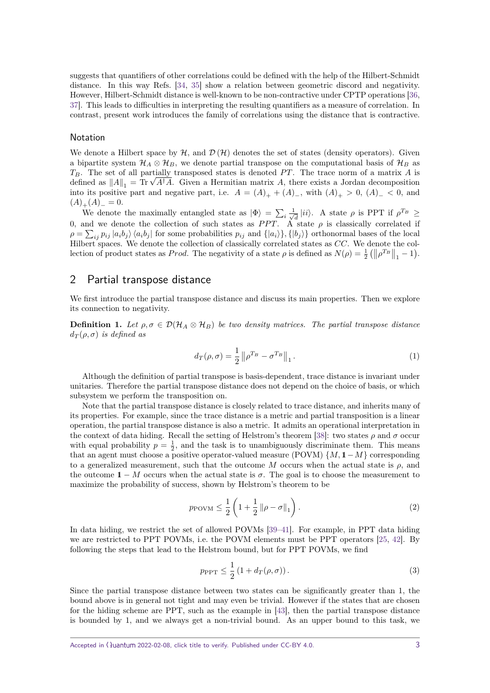suggests that quantifiers of other correlations could be defined with the help of the Hilbert-Schmidt distance. In this way Refs. [\[34,](#page-17-31) [35\]](#page-17-32) show a relation between geometric discord and negativity. However, Hilbert-Schmidt distance is well-known to be non-contractive under CPTP operations [\[36,](#page-17-33) [37\]](#page-17-34). This leads to difficulties in interpreting the resulting quantifiers as a measure of correlation. In contrast, present work introduces the family of correlations using the distance that is contractive.

#### Notation

We denote a Hilbert space by  $\mathcal{H}$ , and  $\mathcal{D}(\mathcal{H})$  denotes the set of states (density operators). Given a bipartite system  $\mathcal{H}_A \otimes \mathcal{H}_B$ , we denote partial transpose on the computational basis of  $\mathcal{H}_B$  as *TB*. The set of all partially transposed states is denoted *P T*. The trace norm of a matrix *A* is  $T_B$ . The set of all partially transposed states is denoted PT. The trace norm of a matrix *A* is defined as  $||A||_1 = \text{Tr} \sqrt{A^{\dagger} A}$ . Given a Hermitian matrix *A*, there exists a Jordan decomposition into its positive part and negative part, i.e.  $A = (A)_{+} + (A)_{-}$ , with  $(A)_{+} > 0$ ,  $(A)_{-} < 0$ , and  $(A)_{+}(A)_{-}=0.$ 

We denote the maximally entangled state as  $|\Phi\rangle = \sum_i \frac{1}{\sqrt{i}}$  $\frac{d}{dt}$  |*ii*}. A state  $\rho$  is PPT if  $\rho^{T_B} \geq$ 0, and we denote the collection of such states as *PPT*. A state  $\rho$  is classically correlated if  $\rho = \sum_{ij} p_{ij} |a_i b_j\rangle \langle a_i b_j|$  for some probabilities  $p_{ij}$  and  $\{|a_i\rangle\}, \{|b_j\rangle\}$  orthonormal bases of the local Hilbert spaces. We denote the collection of classically correlated states as *CC*. We denote the collection of product states as *Prod*. The negativity of a state  $\rho$  is defined as  $N(\rho) = \frac{1}{2} (||\rho^{T_B}||_1 - 1)$ .

## 2 Partial transpose distance

We first introduce the partial transpose distance and discuss its main properties. Then we explore its connection to negativity.

**Definition 1.** Let  $\rho, \sigma \in \mathcal{D}(\mathcal{H}_A \otimes \mathcal{H}_B)$  be two density matrices. The partial transpose distance  $d_{\mathcal{T}}(\rho, \sigma)$  *is defined as* 

$$
d_T(\rho, \sigma) = \frac{1}{2} \left\| \rho^{T_B} - \sigma^{T_B} \right\|_1.
$$
 (1)

Although the definition of partial transpose is basis-dependent, trace distance is invariant under unitaries. Therefore the partial transpose distance does not depend on the choice of basis, or which subsystem we perform the transposition on.

Note that the partial transpose distance is closely related to trace distance, and inherits many of its properties. For example, since the trace distance is a metric and partial transposition is a linear operation, the partial transpose distance is also a metric. It admits an operational interpretation in the context of data hiding. Recall the setting of Helstrom's theorem [\[38\]](#page-17-35): two states  $\rho$  and  $\sigma$  occur with equal probability  $p = \frac{1}{2}$ , and the task is to unambiguously discriminate them. This means that an agent must choose a positive operator-valued measure (POVM)  $\{M, 1-M\}$  corresponding to a generalized measurement, such that the outcome *M* occurs when the actual state is  $\rho$ , and the outcome  $1 - M$  occurs when the actual state is  $\sigma$ . The goal is to choose the measurement to maximize the probability of success, shown by Helstrom's theorem to be

$$
p_{\text{POVM}} \leq \frac{1}{2} \left( 1 + \frac{1}{2} \left\| \rho - \sigma \right\|_{1} \right). \tag{2}
$$

In data hiding, we restrict the set of allowed POVMs [\[39–](#page-17-36)[41\]](#page-18-0). For example, in PPT data hiding we are restricted to PPT POVMs, i.e. the POVM elements must be PPT operators [\[25,](#page-17-22) [42\]](#page-18-1). By following the steps that lead to the Helstrom bound, but for PPT POVMs, we find

$$
p_{\rm PPT} \le \frac{1}{2} \left( 1 + d_T(\rho, \sigma) \right). \tag{3}
$$

Since the partial transpose distance between two states can be significantly greater than 1, the bound above is in general not tight and may even be trivial. However if the states that are chosen for the hiding scheme are PPT, such as the example in [\[43\]](#page-18-2), then the partial transpose distance is bounded by 1, and we always get a non-trivial bound. As an upper bound to this task, we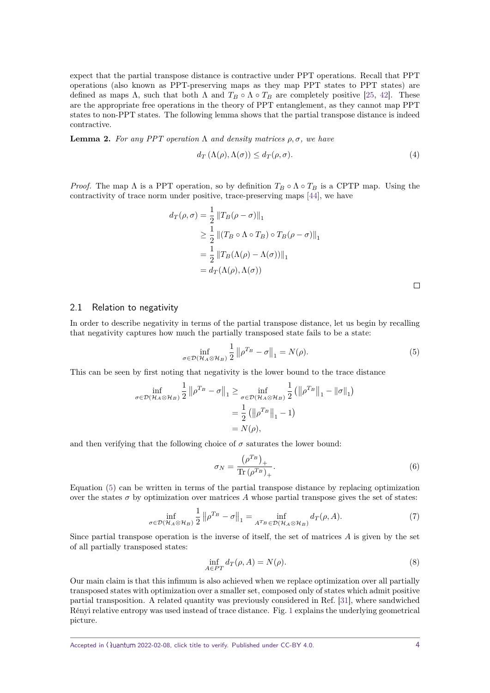expect that the partial transpose distance is contractive under PPT operations. Recall that PPT operations (also known as PPT-preserving maps as they map PPT states to PPT states) are defined as maps  $\Lambda$ , such that both  $\Lambda$  and  $T_B \circ \Lambda \circ T_B$  are completely positive [\[25,](#page-17-22) [42\]](#page-18-1). These are the appropriate free operations in the theory of PPT entanglement, as they cannot map PPT states to non-PPT states. The following lemma shows that the partial transpose distance is indeed contractive.

**Lemma 2.** *For any PPT operation* Λ *and density matrices*  $ρ, σ$ *, we have* 

$$
d_{T}(\Lambda(\rho), \Lambda(\sigma)) \leq d_{T}(\rho, \sigma). \tag{4}
$$

*Proof.* The map  $\Lambda$  is a PPT operation, so by definition  $T_B \circ \Lambda \circ T_B$  is a CPTP map. Using the contractivity of trace norm under positive, trace-preserving maps [\[44\]](#page-18-3), we have

$$
d_T(\rho, \sigma) = \frac{1}{2} ||T_B(\rho - \sigma)||_1
$$
  
\n
$$
\geq \frac{1}{2} ||(T_B \circ \Lambda \circ T_B) \circ T_B(\rho - \sigma)||_1
$$
  
\n
$$
= \frac{1}{2} ||T_B(\Lambda(\rho) - \Lambda(\sigma))||_1
$$
  
\n
$$
= d_T(\Lambda(\rho), \Lambda(\sigma))
$$

#### 2.1 Relation to negativity

In order to describe negativity in terms of the partial transpose distance, let us begin by recalling that negativity captures how much the partially transposed state fails to be a state:

<span id="page-3-0"></span>
$$
\inf_{\sigma \in \mathcal{D}(\mathcal{H}_A \otimes \mathcal{H}_B)} \frac{1}{2} \| \rho^{T_B} - \sigma \|_1 = N(\rho). \tag{5}
$$

This can be seen by first noting that negativity is the lower bound to the trace distance

$$
\inf_{\sigma \in \mathcal{D}(\mathcal{H}_A \otimes \mathcal{H}_B)} \frac{1}{2} \| \rho^{T_B} - \sigma \|_1 \ge \inf_{\sigma \in \mathcal{D}(\mathcal{H}_A \otimes \mathcal{H}_B)} \frac{1}{2} (\|\rho^{T_B}\|_1 - \|\sigma\|_1)
$$

$$
= \frac{1}{2} (\|\rho^{T_B}\|_1 - 1)
$$

$$
= N(\rho),
$$

and then verifying that the following choice of  $\sigma$  saturates the lower bound:

<span id="page-3-1"></span>
$$
\sigma_N = \frac{\left(\rho^{T_B}\right)_+}{\text{Tr}\left(\rho^{T_B}\right)_+}.\tag{6}
$$

Equation [\(5\)](#page-3-0) can be written in terms of the partial transpose distance by replacing optimization over the states  $\sigma$  by optimization over matrices A whose partial transpose gives the set of states:

$$
\inf_{\sigma \in \mathcal{D}(\mathcal{H}_A \otimes \mathcal{H}_B)} \frac{1}{2} \| \rho^{T_B} - \sigma \|_1 = \inf_{A^{T_B} \in \mathcal{D}(\mathcal{H}_A \otimes \mathcal{H}_B)} d_T(\rho, A). \tag{7}
$$

Since partial transpose operation is the inverse of itself, the set of matrices *A* is given by the set of all partially transposed states:

$$
\inf_{A \in PT} d_T(\rho, A) = N(\rho). \tag{8}
$$

Our main claim is that this infimum is also achieved when we replace optimization over all partially transposed states with optimization over a smaller set, composed only of states which admit positive partial transposition. A related quantity was previously considered in Ref. [\[31\]](#page-17-28), where sandwiched Rényi relative entropy was used instead of trace distance. Fig. [1](#page-4-0) explains the underlying geometrical picture.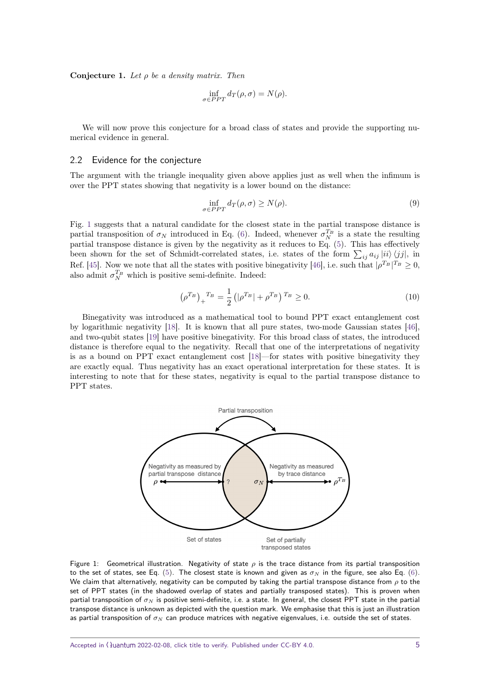<span id="page-4-1"></span>**Conjecture 1.** *Let ρ be a density matrix. Then*

$$
\inf_{\sigma \in PPT} d_T(\rho, \sigma) = N(\rho).
$$

We will now prove this conjecture for a broad class of states and provide the supporting numerical evidence in general.

## 2.2 Evidence for the conjecture

The argument with the triangle inequality given above applies just as well when the infimum is over the PPT states showing that negativity is a lower bound on the distance:

$$
\inf_{\sigma \in PPT} d_T(\rho, \sigma) \ge N(\rho). \tag{9}
$$

Fig. [1](#page-4-0) suggests that a natural candidate for the closest state in the partial transpose distance is partial transposition of  $\sigma_N$  introduced in Eq. [\(6\)](#page-3-1). Indeed, whenever  $\sigma_N^{T_B}$  is a state the resulting partial transpose distance is given by the negativity as it reduces to Eq. [\(5\)](#page-3-0). This has effectively been shown for the set of Schmidt-correlated states, i.e. states of the form  $\sum_{ij} a_{ij} |ii\rangle \langle jj|$ , in Ref. [\[45\]](#page-18-4). Now we note that all the states with positive binegativity [\[46\]](#page-18-5), i.e. such that  $|\rho^{T_B}|^{T_B} \geq 0$ , also admit  $\sigma_N^{T_B}$  which is positive semi-definite. Indeed:

$$
\left(\rho^{T_B}\right)_+^{T_B} = \frac{1}{2} \left( |\rho^{T_B}| + \rho^{T_B} \right)^{T_B} \ge 0. \tag{10}
$$

Binegativity was introduced as a mathematical tool to bound PPT exact entanglement cost by logarithmic negativity [\[18\]](#page-17-15). It is known that all pure states, two-mode Gaussian states [\[46\]](#page-18-5), and two-qubit states [\[19\]](#page-17-16) have positive binegativity. For this broad class of states, the introduced distance is therefore equal to the negativity. Recall that one of the interpretations of negativity is as a bound on PPT exact entanglement cost [\[18\]](#page-17-15)—for states with positive binegativity they are exactly equal. Thus negativity has an exact operational interpretation for these states. It is interesting to note that for these states, negativity is equal to the partial transpose distance to PPT states.

<span id="page-4-0"></span>

Figure 1: Geometrical illustration. Negativity of state *ρ* is the trace distance from its partial transposition to the set of states, see Eq. [\(5\)](#page-3-0). The closest state is known and given as  $\sigma_N$  in the figure, see also Eq. [\(6\)](#page-3-1). We claim that alternatively, negativity can be computed by taking the partial transpose distance from *ρ* to the set of PPT states (in the shadowed overlap of states and partially transposed states). This is proven when partial transposition of *σ<sup>N</sup>* is positive semi-definite, i.e. a state. In general, the closest PPT state in the partial transpose distance is unknown as depicted with the question mark. We emphasise that this is just an illustration as partial transposition of *σ<sup>N</sup>* can produce matrices with negative eigenvalues, i.e. outside the set of states.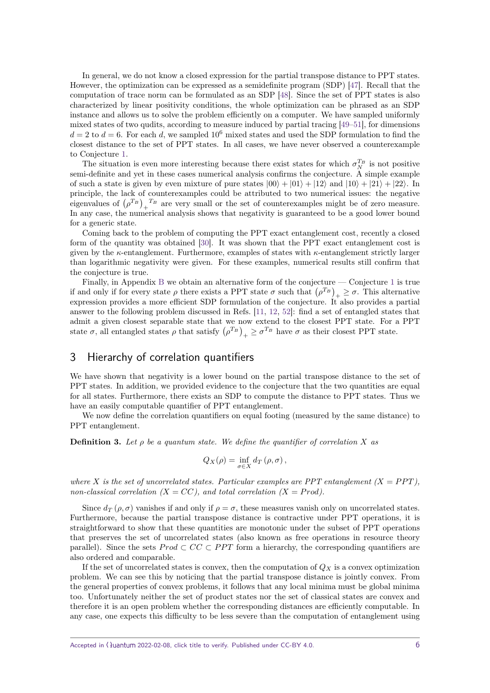In general, we do not know a closed expression for the partial transpose distance to PPT states. However, the optimization can be expressed as a semidefinite program (SDP) [\[47\]](#page-18-6). Recall that the computation of trace norm can be formulated as an SDP [\[48\]](#page-18-7). Since the set of PPT states is also characterized by linear positivity conditions, the whole optimization can be phrased as an SDP instance and allows us to solve the problem efficiently on a computer. We have sampled uniformly mixed states of two qudits, according to measure induced by partial tracing [\[49–](#page-18-8)[51\]](#page-18-9), for dimensions  $d = 2$  to  $d = 6$ . For each *d*, we sampled 10<sup>6</sup> mixed states and used the SDP formulation to find the closest distance to the set of PPT states. In all cases, we have never observed a counterexample to Conjecture [1.](#page-4-1)

The situation is even more interesting because there exist states for which  $\sigma_N^{T_B}$  is not positive semi-definite and yet in these cases numerical analysis confirms the conjecture. A simple example of such a state is given by even mixture of pure states  $|00\rangle + |01\rangle + |12\rangle$  and  $|10\rangle + |21\rangle + |22\rangle$ . In principle, the lack of counterexamples could be attributed to two numerical issues: the negative eigenvalues of  $(\rho^{T_B})_+^{\ T_B}$  are very small or the set of counterexamples might be of zero measure. In any case, the numerical analysis shows that negativity is guaranteed to be a good lower bound for a generic state.

Coming back to the problem of computing the PPT exact entanglement cost, recently a closed form of the quantity was obtained [\[30\]](#page-17-27). It was shown that the PPT exact entanglement cost is given by the *κ*-entanglement. Furthermore, examples of states with *κ*-entanglement strictly larger than logarithmic negativity were given. For these examples, numerical results still confirm that the conjecture is true.

Finally, in Appendix [B](#page-10-1) we obtain an alternative form of the conjecture — Conjecture [1](#page-4-1) is true if and only if for every state  $\rho$  there exists a PPT state  $\sigma$  such that  $(\rho^{T_B})_+ \geq \sigma$ . This alternative expression provides a more efficient SDP formulation of the conjecture. It also provides a partial answer to the following problem discussed in Refs. [\[11,](#page-17-10) [12,](#page-17-11) [52\]](#page-18-10): find a set of entangled states that admit a given closest separable state that we now extend to the closest PPT state. For a PPT state  $\sigma$ , all entangled states  $\rho$  that satisfy  $(\rho^{T_B})_+ \geq \sigma^{T_B}$  have  $\sigma$  as their closest PPT state.

## 3 Hierarchy of correlation quantifiers

We have shown that negativity is a lower bound on the partial transpose distance to the set of PPT states. In addition, we provided evidence to the conjecture that the two quantities are equal for all states. Furthermore, there exists an SDP to compute the distance to PPT states. Thus we have an easily computable quantifier of PPT entanglement.

We now define the correlation quantifiers on equal footing (measured by the same distance) to PPT entanglement.

**Definition 3.** *Let ρ be a quantum state. We define the quantifier of correlation X as*

$$
Q_X(\rho) = \inf_{\sigma \in X} d_T(\rho, \sigma),
$$

where *X* is the set of uncorrelated states. Particular examples are PPT entanglement  $(X = PPT)$ , *non-classical correlation (* $X = CC$ *), and total correlation (* $X = Prod$ *).* 

Since  $d_T(\rho, \sigma)$  vanishes if and only if  $\rho = \sigma$ , these measures vanish only on uncorrelated states. Furthermore, because the partial transpose distance is contractive under PPT operations, it is straightforward to show that these quantities are monotonic under the subset of PPT operations that preserves the set of uncorrelated states (also known as free operations in resource theory parallel). Since the sets  $Prod \subset CC \subset PPT$  form a hierarchy, the corresponding quantifiers are also ordered and comparable.

If the set of uncorrelated states is convex, then the computation of *Q<sup>X</sup>* is a convex optimization problem. We can see this by noticing that the partial transpose distance is jointly convex. From the general properties of convex problems, it follows that any local minima must be global minima too. Unfortunately neither the set of product states nor the set of classical states are convex and therefore it is an open problem whether the corresponding distances are efficiently computable. In any case, one expects this difficulty to be less severe than the computation of entanglement using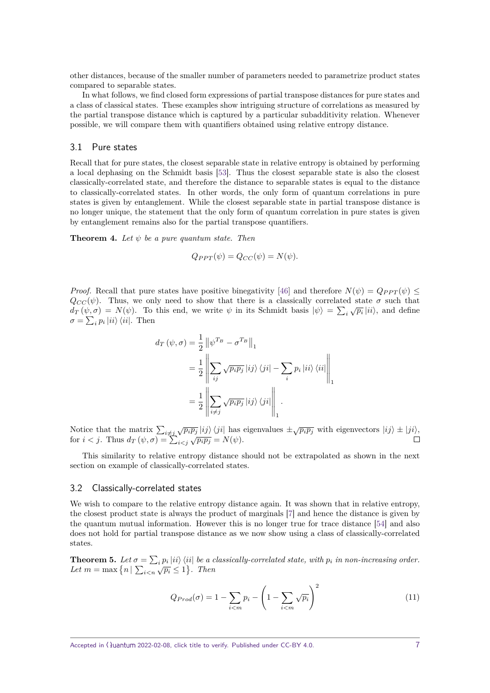other distances, because of the smaller number of parameters needed to parametrize product states compared to separable states.

In what follows, we find closed form expressions of partial transpose distances for pure states and a class of classical states. These examples show intriguing structure of correlations as measured by the partial transpose distance which is captured by a particular subadditivity relation. Whenever possible, we will compare them with quantifiers obtained using relative entropy distance.

## 3.1 Pure states

Recall that for pure states, the closest separable state in relative entropy is obtained by performing a local dephasing on the Schmidt basis [\[53\]](#page-18-11). Thus the closest separable state is also the closest classically-correlated state, and therefore the distance to separable states is equal to the distance to classically-correlated states. In other words, the only form of quantum correlations in pure states is given by entanglement. While the closest separable state in partial transpose distance is no longer unique, the statement that the only form of quantum correlation in pure states is given by entanglement remains also for the partial transpose quantifiers.

<span id="page-6-1"></span>**Theorem 4.** Let  $\psi$  be a pure quantum state. Then

$$
Q_{PPT}(\psi) = Q_{CC}(\psi) = N(\psi).
$$

*Proof.* Recall that pure states have positive binegativity [\[46\]](#page-18-5) and therefore  $N(\psi) = Q_{PPT}(\psi)$  $Q_{CC}(\psi)$ . Thus, we only need to show that there is a classically correlated state  $\sigma$  such that  $d_T(\psi, \sigma) = N(\psi)$ . To this end, we write  $\psi$  in its Schmidt basis  $|\psi\rangle = \sum_i \sqrt{p_i} |ii\rangle$ , and define  $\sigma = \sum_i p_i |ii\rangle \langle ii|$ . Then

$$
d_T(\psi, \sigma) = \frac{1}{2} \left\| \psi^{T_B} - \sigma^{T_B} \right\|_1
$$
  
= 
$$
\frac{1}{2} \left\| \sum_{ij} \sqrt{p_i p_j} |ij\rangle \langle ji| - \sum_i p_i |ii\rangle \langle ii| \right\|_1
$$
  
= 
$$
\frac{1}{2} \left\| \sum_{i \neq j} \sqrt{p_i p_j} |ij\rangle \langle ji| \right\|_1.
$$

Notice that the matrix  $\sum_{i \neq j} \sqrt{p_i p_j} |ij\rangle \langle ji|$  has eigenvalues  $\pm \sqrt{p_i p_j}$  with eigenvectors  $|ij\rangle \pm |ji\rangle$ , for  $i < j$ . Thus  $d_T(\psi, \sigma) = \sum_{i < j} \sqrt{p_i p_j} = N(\psi)$ .

This similarity to relative entropy distance should not be extrapolated as shown in the next section on example of classically-correlated states.

#### 3.2 Classically-correlated states

We wish to compare to the relative entropy distance again. It was shown that in relative entropy, the closest product state is always the product of marginals [\[7\]](#page-17-6) and hence the distance is given by the quantum mutual information. However this is no longer true for trace distance [\[54\]](#page-18-12) and also does not hold for partial transpose distance as we now show using a class of classically-correlated states.

**Theorem 5.** Let  $\sigma = \sum_i p_i |ii\rangle\langle ii|$  be a classically-correlated state, with  $p_i$  in non-increasing order. *Let*  $m = \max \{ n | \sum_{i \leq n} \sqrt{p_i} \leq 1 \}$ . Then

<span id="page-6-0"></span>
$$
Q_{Prod}(\sigma) = 1 - \sum_{i < m} p_i - \left(1 - \sum_{i < m} \sqrt{p_i}\right)^2 \tag{11}
$$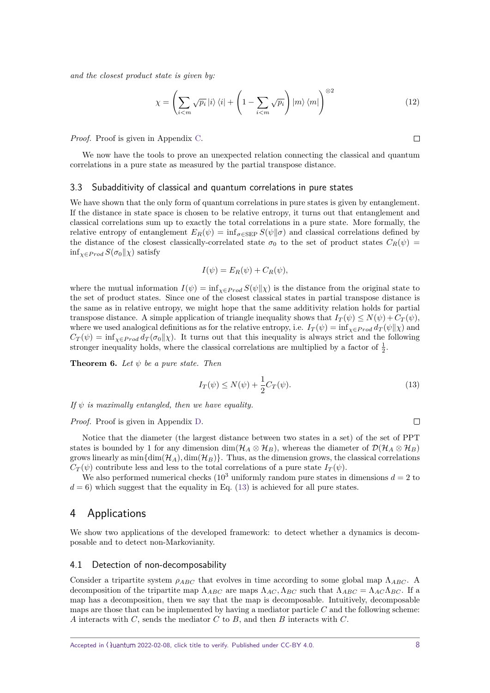*and the closest product state is given by:*

<span id="page-7-1"></span>
$$
\chi = \left(\sum_{i < m} \sqrt{p_i} \, |i\rangle \, \langle i| + \left(1 - \sum_{i < m} \sqrt{p_i}\right) \, |m\rangle \, \langle m|\right)^{\otimes 2} \tag{12}
$$

*Proof.* Proof is given in Appendix [C.](#page-11-0)

We now have the tools to prove an unexpected relation connecting the classical and quantum correlations in a pure state as measured by the partial transpose distance.

#### 3.3 Subadditivity of classical and quantum correlations in pure states

We have shown that the only form of quantum correlations in pure states is given by entanglement. If the distance in state space is chosen to be relative entropy, it turns out that entanglement and classical correlations sum up to exactly the total correlations in a pure state. More formally, the relative entropy of entanglement  $E_R(\psi) = \inf_{\sigma \in \text{SEP}} S(\psi | \sigma)$  and classical correlations defined by the distance of the closest classically-correlated state  $\sigma_0$  to the set of product states  $C_R(\psi)$  =  $\inf_{\chi \in Prod} S(\sigma_0 \|\chi)$  satisfy

$$
I(\psi) = E_R(\psi) + C_R(\psi),
$$

where the mutual information  $I(\psi) = \inf_{\chi \in Pro} S(\psi||\chi)$  is the distance from the original state to the set of product states. Since one of the closest classical states in partial transpose distance is the same as in relative entropy, we might hope that the same additivity relation holds for partial transpose distance. A simple application of triangle inequality shows that  $I_T(\psi) \leq N(\psi) + C_T(\psi)$ , where we used analogical definitions as for the relative entropy, i.e.  $I_T(\psi) = \inf_{\chi \in Pro} d_T(\psi||\chi)$  and  $C_T(\psi) = \inf_{\chi \in Prod} d_T(\sigma_0||\chi)$ . It turns out that this inequality is always strict and the following stronger inequality holds, where the classical correlations are multiplied by a factor of  $\frac{1}{2}$ .

<span id="page-7-2"></span>**Theorem 6.** Let  $\psi$  be a pure state. Then

$$
I_T(\psi) \le N(\psi) + \frac{1}{2}C_T(\psi). \tag{13}
$$

*If ψ is maximally entangled, then we have equality.*

#### *Proof.* Proof is given in Appendix [D.](#page-13-0)

Notice that the diameter (the largest distance between two states in a set) of the set of PPT states is bounded by 1 for any dimension dim( $H_A \otimes H_B$ ), whereas the diameter of  $\mathcal{D}(H_A \otimes H_B)$ grows linearly as  $\min\{\dim(\mathcal{H}_A), \dim(\mathcal{H}_B)\}\$ . Thus, as the dimension grows, the classical correlations  $C_T(\psi)$  contribute less and less to the total correlations of a pure state  $I_T(\psi)$ .

We also performed numerical checks  $(10^3 \text{ uniformly random pure states in dimensions } d = 2 \text{ to } 3 \text{ times } d$  $d = 6$ ) which suggest that the equality in Eq. [\(13\)](#page-7-0) is achieved for all pure states.

## 4 Applications

We show two applications of the developed framework: to detect whether a dynamics is decomposable and to detect non-Markovianity.

#### 4.1 Detection of non-decomposability

Consider a tripartite system  $\rho_{ABC}$  that evolves in time according to some global map  $\Lambda_{ABC}$ . A decomposition of the tripartite map  $\Lambda_{ABC}$  are maps  $\Lambda_{AC}$ ,  $\Lambda_{BC}$  such that  $\Lambda_{ABC} = \Lambda_{AC} \Lambda_{BC}$ . If a map has a decomposition, then we say that the map is decomposable. Intuitively, decomposable maps are those that can be implemented by having a mediator particle *C* and the following scheme: *A* interacts with *C*, sends the mediator *C* to *B*, and then *B* interacts with *C*.

<span id="page-7-0"></span> $\Box$ 

 $\Box$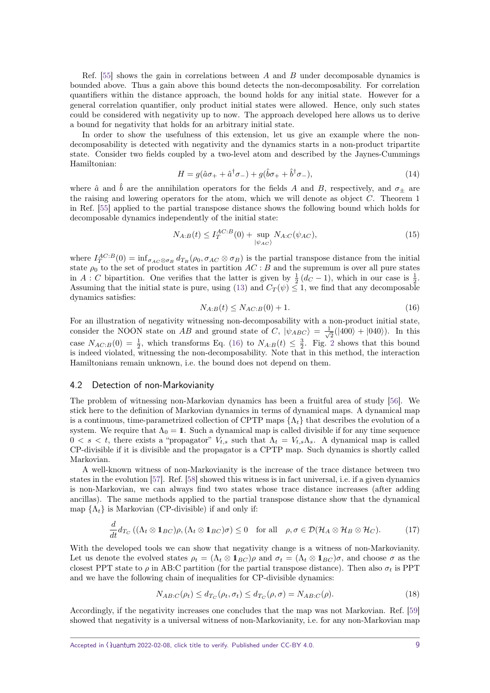Ref. [\[55\]](#page-18-13) shows the gain in correlations between *A* and *B* under decomposable dynamics is bounded above. Thus a gain above this bound detects the non-decomposability. For correlation quantifiers within the distance approach, the bound holds for any initial state. However for a general correlation quantifier, only product initial states were allowed. Hence, only such states could be considered with negativity up to now. The approach developed here allows us to derive a bound for negativity that holds for an arbitrary initial state.

In order to show the usefulness of this extension, let us give an example where the nondecomposability is detected with negativity and the dynamics starts in a non-product tripartite state. Consider two fields coupled by a two-level atom and described by the Jaynes-Cummings Hamiltonian:

$$
H = g(\hat{a}\sigma_+ + \hat{a}^\dagger \sigma_-) + g(\hat{b}\sigma_+ + \hat{b}^\dagger \sigma_-),\tag{14}
$$

where  $\hat{a}$  and  $\hat{b}$  are the annihilation operators for the fields *A* and *B*, respectively, and  $\sigma_{\pm}$  are the raising and lowering operators for the atom, which we will denote as object *C*. Theorem 1 in Ref. [\[55\]](#page-18-13) applied to the partial transpose distance shows the following bound which holds for decomposable dynamics independently of the initial state:

$$
N_{A:B}(t) \le I_T^{AC:B}(0) + \sup_{|\psi_{AC}\rangle} N_{A:C}(\psi_{AC}),
$$
\n(15)

where  $I_T^{AC:B}(0) = \inf_{\sigma_{AC} \otimes \sigma_B} d_{T_B}(\rho_0, \sigma_{AC} \otimes \sigma_B)$  is the partial transpose distance from the initial state  $\rho_0$  to the set of product states in partition  $AC : B$  and the supremum is over all pure states in *A* : *C* bipartition. One verifies that the latter is given by  $\frac{1}{2}(d_C-1)$ , which in our case is  $\frac{1}{2}$ . Assuming that the initial state is pure, using [\(13\)](#page-7-0) and  $C_T(\psi) \leq 1$ , we find that any decomposable dynamics satisfies:

<span id="page-8-0"></span>
$$
N_{A:B}(t) \le N_{AC:B}(0) + 1. \tag{16}
$$

For an illustration of negativity witnessing non-decomposability with a non-product initial state, consider the NOON state on *AB* and ground state of *C*,  $|\psi_{ABC}\rangle = \frac{1}{\sqrt{2}}$  $\frac{1}{2}(|400\rangle + |040\rangle)$ . In this case  $N_{AC:B}(0) = \frac{1}{2}$  $N_{AC:B}(0) = \frac{1}{2}$  $N_{AC:B}(0) = \frac{1}{2}$ , which transforms Eq. [\(16\)](#page-8-0) to  $N_{A:B}(t) \leq \frac{3}{2}$ . Fig. 2 shows that this bound is indeed violated, witnessing the non-decomposability. Note that in this method, the interaction Hamiltonians remain unknown, i.e. the bound does not depend on them.

#### 4.2 Detection of non-Markovianity

The problem of witnessing non-Markovian dynamics has been a fruitful area of study [\[56\]](#page-18-14). We stick here to the definition of Markovian dynamics in terms of dynamical maps. A dynamical map is a continuous, time-parametrized collection of CPTP maps  $\{\Lambda_t\}$  that describes the evolution of a system. We require that  $\Lambda_0 = 1$ . Such a dynamical map is called divisible if for any time sequence  $0 \lt s \lt t$ , there exists a "propagator"  $V_{t,s}$  such that  $\Lambda_t = V_{t,s}\Lambda_s$ . A dynamical map is called CP-divisible if it is divisible and the propagator is a CPTP map. Such dynamics is shortly called Markovian.

A well-known witness of non-Markovianity is the increase of the trace distance between two states in the evolution [\[57\]](#page-18-15). Ref. [\[58\]](#page-18-16) showed this witness is in fact universal, i.e. if a given dynamics is non-Markovian, we can always find two states whose trace distance increases (after adding ancillas). The same methods applied to the partial transpose distance show that the dynamical map  $\{\Lambda_t\}$  is Markovian (CP-divisible) if and only if:

$$
\frac{d}{dt}d_{T_C}((\Lambda_t \otimes \mathbf{1}_{BC})\rho, (\Lambda_t \otimes \mathbf{1}_{BC})\sigma) \le 0 \quad \text{for all} \quad \rho, \sigma \in \mathcal{D}(\mathcal{H}_A \otimes \mathcal{H}_B \otimes \mathcal{H}_C). \tag{17}
$$

With the developed tools we can show that negativity change is a witness of non-Markovianity. Let us denote the evolved states  $\rho_t = (\Lambda_t \otimes \mathbf{1}_{BC})\rho$  and  $\sigma_t = (\Lambda_t \otimes \mathbf{1}_{BC})\sigma$ , and choose  $\sigma$  as the closest PPT state to  $\rho$  in AB:C partition (for the partial transpose distance). Then also  $\sigma_t$  is PPT and we have the following chain of inequalities for CP-divisible dynamics:

$$
N_{AB:C}(\rho_t) \le d_{T_C}(\rho_t, \sigma_t) \le d_{T_C}(\rho, \sigma) = N_{AB:C}(\rho). \tag{18}
$$

Accordingly, if the negativity increases one concludes that the map was not Markovian. Ref. [\[59\]](#page-18-17) showed that negativity is a universal witness of non-Markovianity, i.e. for any non-Markovian map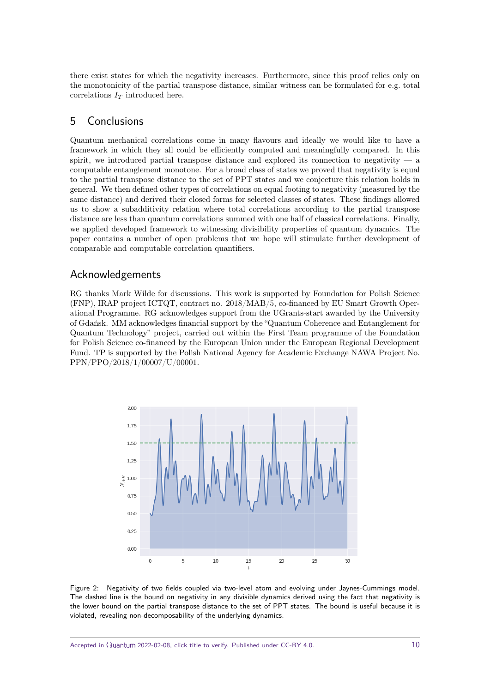there exist states for which the negativity increases. Furthermore, since this proof relies only on the monotonicity of the partial transpose distance, similar witness can be formulated for e.g. total correlations  $I_T$  introduced here.

# 5 Conclusions

Quantum mechanical correlations come in many flavours and ideally we would like to have a framework in which they all could be efficiently computed and meaningfully compared. In this spirit, we introduced partial transpose distance and explored its connection to negativity  $-$  a computable entanglement monotone. For a broad class of states we proved that negativity is equal to the partial transpose distance to the set of PPT states and we conjecture this relation holds in general. We then defined other types of correlations on equal footing to negativity (measured by the same distance) and derived their closed forms for selected classes of states. These findings allowed us to show a subadditivity relation where total correlations according to the partial transpose distance are less than quantum correlations summed with one half of classical correlations. Finally, we applied developed framework to witnessing divisibility properties of quantum dynamics. The paper contains a number of open problems that we hope will stimulate further development of comparable and computable correlation quantifiers.

## Acknowledgements

RG thanks Mark Wilde for discussions. This work is supported by Foundation for Polish Science (FNP), IRAP project ICTQT, contract no. 2018/MAB/5, co-financed by EU Smart Growth Operational Programme. RG acknowledges support from the UGrants-start awarded by the University of Gdańsk. MM acknowledges financial support by the "Quantum Coherence and Entanglement for Quantum Technology" project, carried out within the First Team programme of the Foundation for Polish Science co-financed by the European Union under the European Regional Development Fund. TP is supported by the Polish National Agency for Academic Exchange NAWA Project No. PPN/PPO/2018/1/00007/U/00001.

<span id="page-9-0"></span>

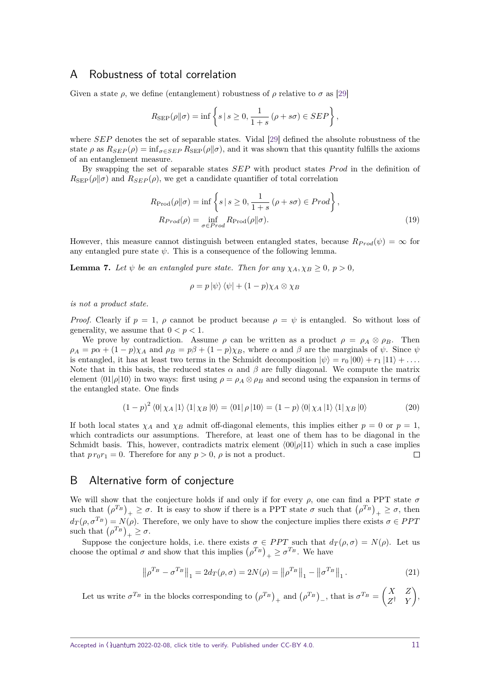## <span id="page-10-0"></span>A Robustness of total correlation

Given a state  $\rho$ , we define (entanglement) robustness of  $\rho$  relative to  $\sigma$  as [\[29\]](#page-17-26)

$$
R_{\mathrm{SEP}}(\rho\|\sigma)=\inf\left\{s\,|\,s\geq0,\frac{1}{1+s}\,(\rho+s\sigma)\in SEP\right\},
$$

where *SEP* denotes the set of separable states. Vidal [\[29\]](#page-17-26) defined the absolute robustness of the state  $\rho$  as  $R_{SEP}(\rho) = \inf_{\sigma \in SEP} R_{SEP}(\rho || \sigma)$ , and it was shown that this quantity fulfills the axioms of an entanglement measure.

By swapping the set of separable states *SEP* with product states *P rod* in the definition of  $R_{\rm SEP}(\rho||\sigma)$  and  $R_{SEP}(\rho)$ , we get a candidate quantifier of total correlation

$$
R_{\text{Prod}}(\rho \| \sigma) = \inf \left\{ s \mid s \ge 0, \frac{1}{1+s} \left( \rho + s\sigma \right) \in \text{Prod} \right\},\
$$
  

$$
R_{\text{Prod}}(\rho) = \inf_{\sigma \in \text{Prod}} R_{\text{Prod}}(\rho \| \sigma).
$$
 (19)

However, this measure cannot distinguish between entangled states, because  $R_{Prod}(\psi) = \infty$  for any entangled pure state  $\psi$ . This is a consequence of the following lemma.

**Lemma 7.** Let  $\psi$  be an entangled pure state. Then for any  $\chi_A, \chi_B > 0, p > 0$ ,

$$
\rho = p |\psi\rangle \langle \psi| + (1 - p) \chi_A \otimes \chi_B
$$

*is not a product state.*

*Proof.* Clearly if  $p = 1$ ,  $\rho$  cannot be product because  $\rho = \psi$  is entangled. So without loss of generality, we assume that  $0 < p < 1$ .

We prove by contradiction. Assume  $\rho$  can be written as a product  $\rho = \rho_A \otimes \rho_B$ . Then  $\rho_A = p\alpha + (1-p)\chi_A$  and  $\rho_B = p\beta + (1-p)\chi_B$ , where  $\alpha$  and  $\beta$  are the marginals of  $\psi$ . Since  $\psi$ is entangled, it has at least two terms in the Schmidt decomposition  $|\psi\rangle = r_0 |00\rangle + r_1 |11\rangle + \ldots$ Note that in this basis, the reduced states  $\alpha$  and  $\beta$  are fully diagonal. We compute the matrix element  $\langle 01|\rho|10\rangle$  in two ways: first using  $\rho = \rho_A \otimes \rho_B$  and second using the expansion in terms of the entangled state. One finds

$$
(1-p)^2 \langle 0|\chi_A|1\rangle \langle 1|\chi_B|0\rangle = \langle 01|\rho|10\rangle = (1-p)\langle 0|\chi_A|1\rangle \langle 1|\chi_B|0\rangle \tag{20}
$$

If both local states  $\chi_A$  and  $\chi_B$  admit off-diagonal elements, this implies either  $p = 0$  or  $p = 1$ , which contradicts our assumptions. Therefore, at least one of them has to be diagonal in the Schmidt basis. This, however, contradicts matrix element  $\langle 00|\rho|11\rangle$  which in such a case implies that  $pr_0r_1 = 0$ . Therefore for any  $p > 0$ ,  $\rho$  is not a product.  $\Box$ 

## <span id="page-10-1"></span>B Alternative form of conjecture

We will show that the conjecture holds if and only if for every  $\rho$ , one can find a PPT state  $\sigma$ such that  $(\rho^{T_B})_+ \geq \sigma$ . It is easy to show if there is a PPT state  $\sigma$  such that  $(\rho^{T_B})_+ \geq \sigma$ , then  $d_T(\rho, \sigma^{T_B}) = N(\rho)$ . Therefore, we only have to show the conjecture implies there exists  $\sigma \in PPT$ such that  $(\rho^{T_B})_+ \geq \sigma$ .

Suppose the conjecture holds, i.e. there exists  $\sigma \in PPT$  such that  $d_T(\rho, \sigma) = N(\rho)$ . Let us choose the optimal  $\sigma$  and show that this implies  $(\rho^{T_B})_+ \geq \sigma^{T_B}$ . We have

$$
\left\|\rho^{T_B} - \sigma^{T_B}\right\|_1 = 2d_T(\rho, \sigma) = 2N(\rho) = \left\|\rho^{T_B}\right\|_1 - \left\|\sigma^{T_B}\right\|_1. \tag{21}
$$

Let us write  $\sigma^{T_B}$  in the blocks corresponding to  $(\rho^{T_B})_+$  and  $(\rho^{T_B})_-$ , that is  $\sigma^{T_B} = \begin{pmatrix} X & Z \\ Z^{\dagger} & Y \end{pmatrix}$ *Z* † *Y*  $\big),$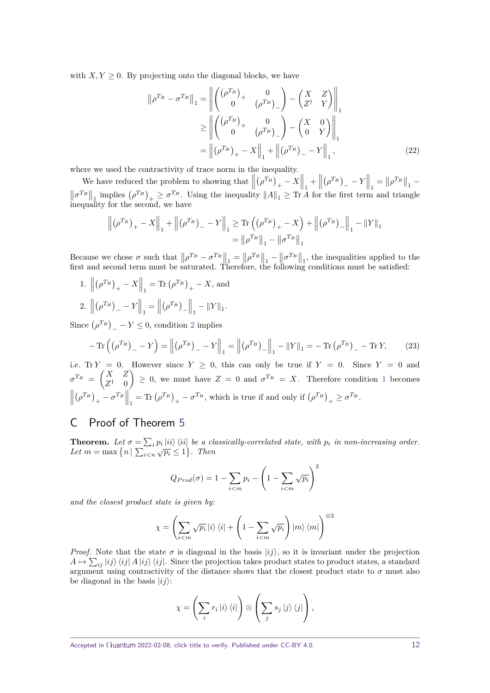with  $X, Y \geq 0$ . By projecting onto the diagonal blocks, we have

$$
\|\rho^{T_B} - \sigma^{T_B}\|_1 = \left\| \begin{pmatrix} (\rho^{T_B})_+ & 0 \\ 0 & (\rho^{T_B})_- \end{pmatrix} - \begin{pmatrix} X & Z \\ Z^\dagger & Y \end{pmatrix} \right\|_1
$$
  
\n
$$
\geq \left\| \begin{pmatrix} (\rho^{T_B})_+ & 0 \\ 0 & (\rho^{T_B})_- \end{pmatrix} - \begin{pmatrix} X & 0 \\ 0 & Y \end{pmatrix} \right\|_1
$$
  
\n
$$
= \left\| (\rho^{T_B})_+ - X \right\|_1 + \left\| (\rho^{T_B})_- - Y \right\|_1, \tag{22}
$$

where we used the contractivity of trace norm in the inequality.

We have reduced the problem to showing that  $\left\| \begin{array}{c} 0 & \cdots & \cdots & \cdots \\ 0 & \cdots & \cdots & \cdots \\ 0 & \cdots & \cdots & \cdots \end{array} \right\|$  $(\rho^{T_B})_+ - X \Big\|_1 + \Big\|_1$  $(\rho^{T_B})$ <sub>-</sub> - *Y* $\Big\|_1 = \Big\|\rho^{T_B}\Big\|_1$  - $\left\|\sigma^{T_B}\right\|_1$  implies  $(\rho^{T_B})_+ \geq \sigma^{T_B}$ . Using the inequality  $\|A\|_1 \geq \text{Tr }A$  for the first term and triangle inequality for the second, we have

$$
\left\| \left( \rho^{T_B} \right)_+ - X \right\|_1 + \left\| \left( \rho^{T_B} \right)_- - Y \right\|_1 \geq \text{Tr} \left( \left( \rho^{T_B} \right)_+ - X \right) + \left\| \left( \rho^{T_B} \right)_- \right\|_1 - \left\| Y \right\|_1
$$
  
= 
$$
\left\| \rho^{T_B} \right\|_1 - \left\| \sigma^{T_B} \right\|_1
$$

Because we chose  $\sigma$  such that  $\|\rho^{T_B} - \sigma^{T_B}\|_1 = \|\rho^{T_B}\|_1 - \|\sigma^{T_B}\|_1$ , the inequalities applied to the first and second term must be saturated. Therefore, the following conditions must be satisfied:

<span id="page-11-2"></span><span id="page-11-1"></span> $1.$  $(\rho^{T_B})_+ - X \Big\|_1 = \text{Tr} (\rho^{T_B})_+ - X$ , and 2.  $\parallel$  $(\rho^{T_B})$ <sub>-</sub> - *Y* $\Big\|_1 = \Big\|$  $(\rho^{T_B})_{-}\Big\|_1 - \|Y\|_1.$ 

Since  $(\rho^{T_B})$ <sub>-</sub> - *Y*  $\leq$  0, condition [2](#page-11-1) implies

$$
-\operatorname{Tr}\left(\left(\rho^{T_B}\right)_{-}-Y\right) = \left\| \left(\rho^{T_B}\right)_{-}-Y\right\|_{1} = \left\| \left(\rho^{T_B}\right)_{-}\right\|_{1} - \left\| Y\right\|_{1} = -\operatorname{Tr}\left(\rho^{T_B}\right)_{-} - \operatorname{Tr}Y,\tag{23}
$$

i.e. Tr  $Y = 0$ . However since  $Y \ge 0$ , this can only be true if  $Y = 0$ . Since  $Y = 0$  and  $\sigma^{T_B} = \begin{pmatrix} X & Z \\ Z^{\dagger} & 0 \end{pmatrix}$ *Z* † 0  $\left( \begin{array}{cccc} 0 & 0 \\ 0 & \end{array} \right) \geq 0$ , we must have  $Z = 0$  and  $\sigma^{T_B} = X$ . Therefore condition [1](#page-11-2) becomes  $\biggl\| \biggr.$  $(\rho^{T_B})_+ - \sigma^{T_B} \Big\|_1 = \text{Tr} (\rho^{T_B})_+ - \sigma^{T_B}$ , which is true if and only if  $(\rho^{T_B})_+ \ge \sigma^{T_B}$ .

# <span id="page-11-0"></span>C Proof of Theorem [5](#page-7-1)

**Theorem.** Let  $\sigma = \sum_i p_i |ii\rangle\langle ii|$  be a classically-correlated state, with  $p_i$  in non-increasing order. *Let*  $m = \max\{n | \sum_{i \le n} \sqrt{p_i} \le 1\}$ . Then

$$
Q_{Prod}(\sigma) = 1 - \sum_{i < m} p_i - \left(1 - \sum_{i < m} \sqrt{p_i}\right)^2
$$

*and the closest product state is given by:*

$$
\chi = \left(\sum_{i < m} \sqrt{p_i} \, |i\rangle\, \langle i| + \left(1 - \sum_{i < m} \sqrt{p_i}\right) |m\rangle\, \langle m|\right)^{\otimes 2}
$$

*Proof.* Note that the state  $\sigma$  is diagonal in the basis  $|ij\rangle$ , so it is invariant under the projection  $A \mapsto \sum_{ij} |ij\rangle\langle ij| A |ij\rangle\langle ij|$ . Since the projection takes product states to product states, a standard argument using contractivity of the distance shows that the closest product state to  $\sigma$  must also be diagonal in the basis  $|ij\rangle$ :

$$
\chi = \left(\sum_i r_i \ket{i}\bra{i}\right) \otimes \left(\sum_j s_j \ket{j}\bra{j}\right),\,
$$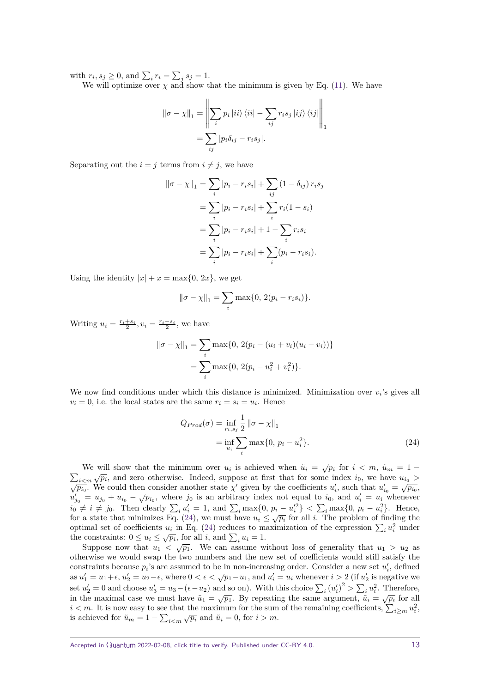with  $r_i, s_j \geq 0$ , and  $\sum_i r_i = \sum_j s_j = 1$ .

We will optimize over  $\chi$  and show that the minimum is given by Eq. [\(11\)](#page-6-0). We have

$$
\|\sigma - \chi\|_1 = \left\|\sum_i p_i |ii\rangle\langle ii| - \sum_{ij} r_i s_j |ij\rangle\langle ij|\right\|_1
$$
  
= 
$$
\sum_{ij} |p_i \delta_{ij} - r_i s_j|.
$$

Separating out the  $i = j$  terms from  $i \neq j$ , we have

$$
\|\sigma - \chi\|_1 = \sum_i |p_i - r_i s_i| + \sum_{ij} (1 - \delta_{ij}) r_i s_j
$$
  
= 
$$
\sum_i |p_i - r_i s_i| + \sum_i r_i (1 - s_i)
$$
  
= 
$$
\sum_i |p_i - r_i s_i| + 1 - \sum_i r_i s_i
$$
  
= 
$$
\sum_i |p_i - r_i s_i| + \sum_i (p_i - r_i s_i).
$$

Using the identity  $|x| + x = \max\{0, 2x\}$ , we get

$$
\|\sigma - \chi\|_1 = \sum_i \max\{0, 2(p_i - r_i s_i)\}.
$$

Writing  $u_i = \frac{r_i + s_i}{2}$ ,  $v_i = \frac{r_i - s_i}{2}$ , we have

$$
\|\sigma - \chi\|_1 = \sum_i \max\{0, 2(p_i - (u_i + v_i)(u_i - v_i))\}
$$

$$
= \sum_i \max\{0, 2(p_i - u_i^2 + v_i^2)\}.
$$

We now find conditions under which this distance is minimized. Minimization over  $v_i$ 's gives all  $v_i = 0$ , i.e. the local states are the same  $r_i = s_i = u_i$ . Hence

<span id="page-12-0"></span>
$$
Q_{Prod}(\sigma) = \inf_{r_i, s_j} \frac{1}{2} ||\sigma - \chi||_1
$$
  
=  $\inf_{u_i} \sum_i \max\{0, p_i - u_i^2\}.$  (24)

We will show that the minimum over  $u_i$  is achieved when  $\tilde{u}_i = \sqrt{p_i}$  for  $i < m$ ,  $\tilde{u}_m = 1 - \tilde{u}_m$  $\sum_{i \le m} \sqrt{p_i}$ , and zero otherwise. Indeed, suppose at first that for some index *i*<sub>0</sub>, we have  $u_{i_0} >$  $\sqrt{p_{i_0}}$ . We could then consider another state  $\chi'$  given by the coefficients  $u'_i$ , such that  $u'_{i_0} = \sqrt{p_{i_0}}$ ,  $u_{j_0}^{\mu_0}$ . We could then consider abounct state  $\chi$  given by the coefficients  $u_i$ , such that  $u_{i_0} - \sqrt{\mu_{i_0}}$ ,  $u'_{j_0} = u_{j_0} + u_{i_0} - \sqrt{\mu_{i_0}}$ , where *j*<sub>0</sub> is an arbitrary index not equal to *i*<sub>0</sub>, and  $u'_i = u$  $i_0 \neq i \neq j_0$ . Then clearly  $\sum_i u'_i = 1$ , and  $\sum_i \max\{0, p_i - u'^2_i\} < \sum_i \max\{0, p_i - u^2_i\}$ . Hence,  $\mathcal{L}_0 + \mathcal{L}_1 + \mathcal{L}_0$ . Then clearly  $\sum_i u_i = 1$ , and  $\sum_i \max\{0, p_i - u_i\} \leq \sum_i \max\{0, p_i - u_i\}$ . Hence, for a state that minimizes Eq. [\(24\)](#page-12-0), we must have  $u_i \leq \sqrt{p_i}$  for all *i*. The problem of finding the optimal set of coefficients  $u_i$  in Eq. [\(24\)](#page-12-0) reduces to maximization of the expression  $\sum_i u_i^2$  under the constraints:  $0 \le u_i \le \sqrt{p_i}$ , for all *i*, and  $\sum_i u_i = 1$ .

Suppose now that  $u_1 < \sqrt{p_1}$ . We can assume without loss of generality that  $u_1 > u_2$  as otherwise we would swap the two numbers and the new set of coefficients would still satisfy the constraints because  $p_i$ 's are assumed to be in non-increasing order. Consider a new set  $u'_i$ , defined as  $u'_1 = u_1 + \epsilon$ ,  $u'_2 = u_2 - \epsilon$ , where  $0 < \epsilon < \sqrt{p_1} - u_1$ , and  $u'_i = u_i$  whenever  $i > 2$  (if  $u'_2$  is negative we set  $u_2' = 0$  and choose  $u_3' = u_3 - (\epsilon - u_2)$  and so on). With this choice  $\sum_i (u_i')^2 > \sum_i u_i^2$ . Therefore, in the maximal case we must have  $\tilde{u}_1 = \sqrt{p_1}$ . By repeating the same argument,  $\tilde{u}_i = \sqrt{p_i}$  for all  $i < m$ . It is now easy to see that the maximum for the sum of the remaining coefficients,  $\sum_{i \ge m} u_i^2$ , is achieved for  $\tilde{u}_m = 1 - \sum_{i \le m} \sqrt{p_i}$  and  $\tilde{u}_i = 0$ , for  $i > m$ .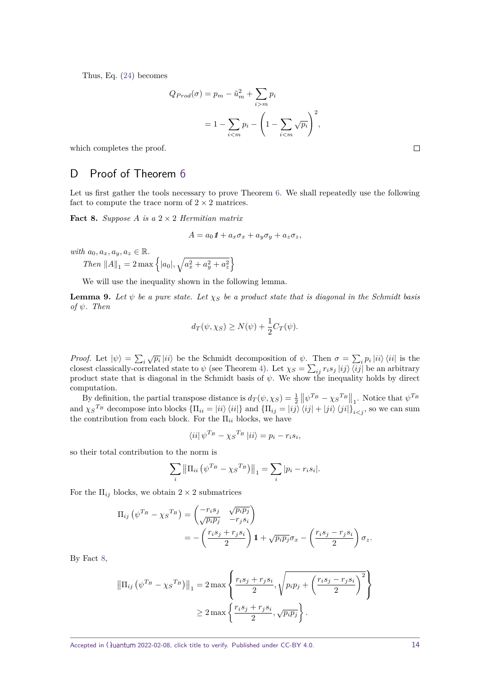Thus, Eq. [\(24\)](#page-12-0) becomes

$$
Q_{Prod}(\sigma) = p_m - \tilde{u}_m^2 + \sum_{i > m} p_i
$$

$$
= 1 - \sum_{i < m} p_i - \left(1 - \sum_{i < m} \sqrt{p_i}\right)^2,
$$

which completes the proof.

## <span id="page-13-0"></span>D Proof of Theorem [6](#page-7-2)

Let us first gather the tools necessary to prove Theorem [6.](#page-7-2) We shall repeatedly use the following fact to compute the trace norm of  $2 \times 2$  matrices.

<span id="page-13-1"></span>**Fact 8.** Suppose A is a  $2 \times 2$  *Hermitian matrix* 

$$
A = a_0 \mathbf{1} + a_x \sigma_x + a_y \sigma_y + a_z \sigma_z,
$$

*with*  $a_0, a_x, a_y, a_z \in \mathbb{R}$ *.* 

*Then*  $||A||_1 = 2 \max \{ |a_0|, \sqrt{a_x^2 + a_y^2 + a_z^2} \}$ 

We will use the inequality shown in the following lemma.

<span id="page-13-2"></span>**Lemma 9.** Let  $\psi$  be a pure state. Let  $\chi_S$  be a product state that is diagonal in the Schmidt basis  $of$   $\psi$ *.* Then

$$
d_T(\psi, \chi_S) \ge N(\psi) + \frac{1}{2}C_T(\psi).
$$

*Proof.* Let  $|\psi\rangle = \sum_i \sqrt{p_i} |ii\rangle$  be the Schmidt decomposition of  $\psi$ . Then  $\sigma = \sum_i p_i |ii\rangle \langle ii|$  is the closest classically-correlated state to  $\psi$  (see Theorem [4\)](#page-6-1). Let  $\chi_S = \sum_{ij} r_i s_j |ij\rangle \langle ij|$  be an arbitrary product state that is diagonal in the Schmidt basis of *ψ*. We show the inequality holds by direct computation.

By definition, the partial transpose distance is  $d_T(\psi, \chi_S) = \frac{1}{2} ||\psi^{T_B} - \chi_S^{T_B}||_1$ . Notice that  $\psi^{T_B}$ and  $\chi_{S}^{T_{B}}$  decompose into blocks  $\{\Pi_{ii} = |ii\rangle \langle ii|\}$  and  $\{\Pi_{ij} = |ij\rangle \langle ij| + |ji\rangle \langle ji|\}_{i \leq j}$ , so we can sum the contribution from each block. For the  $\Pi_{ii}$  blocks, we have

$$
\langle ii | \psi^{T_B} - \chi_S^{T_B} | ii \rangle = p_i - r_i s_i,
$$

so their total contribution to the norm is

$$
\sum_{i} \left\| \Pi_{ii} \left( \psi^{T_B} - \chi_S^{T_B} \right) \right\|_1 = \sum_{i} |p_i - r_i s_i|.
$$

For the  $\Pi_{ij}$  blocks, we obtain  $2 \times 2$  submatrices

$$
\Pi_{ij} \left( \psi^{T_B} - \chi_S^{T_B} \right) = \begin{pmatrix} -r_i s_j & \sqrt{p_i p_j} \\ \sqrt{p_i p_j} & -r_j s_i \end{pmatrix}
$$
  
= 
$$
- \left( \frac{r_i s_j + r_j s_i}{2} \right) \mathbf{1} + \sqrt{p_i p_j} \sigma_x - \left( \frac{r_i s_j - r_j s_i}{2} \right) \sigma_z.
$$

By Fact [8,](#page-13-1)

$$
\|\Pi_{ij} \left( \psi^{T_B} - \chi_S^{T_B} \right) \|_1 = 2 \max \left\{ \frac{r_i s_j + r_j s_i}{2}, \sqrt{p_i p_j + \left( \frac{r_i s_j - r_j s_i}{2} \right)^2} \right\}
$$
  

$$
\geq 2 \max \left\{ \frac{r_i s_j + r_j s_i}{2}, \sqrt{p_i p_j} \right\}.
$$

Accepted in ( $\lambda$ uantum 2022-02-08, click title to verify. Published under CC-BY 4.0. 14

 $\Box$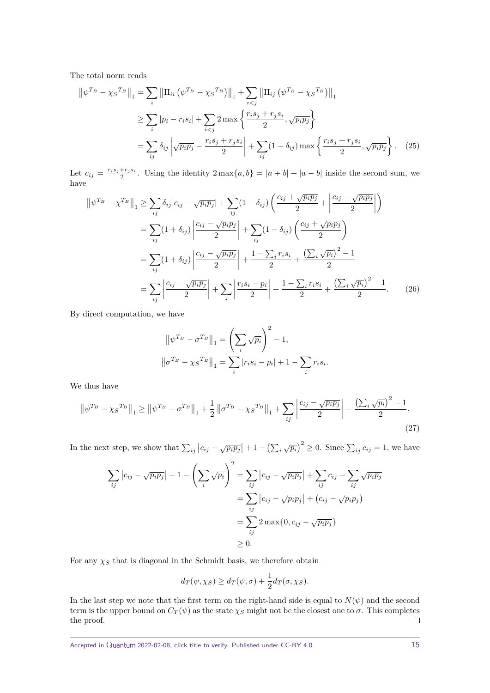The total norm reads

$$
\|\psi^{T_B} - \chi_S^{T_B}\|_1 = \sum_i \|\Pi_{ii} (\psi^{T_B} - \chi_S^{T_B})\|_1 + \sum_{i < j} \|\Pi_{ij} (\psi^{T_B} - \chi_S^{T_B})\|_1
$$
\n
$$
\geq \sum_i |p_i - r_i s_i| + \sum_{i < j} 2 \max \left\{ \frac{r_i s_j + r_j s_i}{2}, \sqrt{p_i p_j} \right\}
$$
\n
$$
= \sum_{ij} \delta_{ij} \left| \sqrt{p_i p_j} - \frac{r_i s_j + r_j s_i}{2} \right| + \sum_{ij} (1 - \delta_{ij}) \max \left\{ \frac{r_i s_j + r_j s_i}{2}, \sqrt{p_i p_j} \right\}. \tag{25}
$$

Let  $c_{ij} = \frac{r_i s_j + r_j s_i}{2}$ . Using the identity  $2 \max\{a, b\} = |a + b| + |a - b|$  inside the second sum, we have

$$
\|\psi^{T_B} - \chi^{T_B}\|_1 \ge \sum_{ij} \delta_{ij} |c_{ij} - \sqrt{p_i p_j}| + \sum_{ij} (1 - \delta_{ij}) \left( \frac{c_{ij} + \sqrt{p_i p_j}}{2} + \left| \frac{c_{ij} - \sqrt{p_i p_j}}{2} \right| \right)
$$
  

$$
= \sum_{ij} (1 + \delta_{ij}) \left| \frac{c_{ij} - \sqrt{p_i p_j}}{2} \right| + \sum_{ij} (1 - \delta_{ij}) \left( \frac{c_{ij} + \sqrt{p_i p_j}}{2} \right)
$$
  

$$
= \sum_{ij} (1 + \delta_{ij}) \left| \frac{c_{ij} - \sqrt{p_i p_j}}{2} \right| + \frac{1 - \sum_i r_i s_i}{2} + \frac{\left( \sum_i \sqrt{p_i} \right)^2 - 1}{2}
$$
  

$$
= \sum_{ij} \left| \frac{c_{ij} - \sqrt{p_i p_j}}{2} \right| + \sum_i \left| \frac{r_i s_i - p_i}{2} \right| + \frac{1 - \sum_i r_i s_i}{2} + \frac{\left( \sum_i \sqrt{p_i} \right)^2 - 1}{2}.
$$
 (26)

By direct computation, we have

$$
\|\psi^{T_B} - \sigma^{T_B}\|_1 = \left(\sum_i \sqrt{p_i}\right)^2 - 1,
$$
  

$$
\|\sigma^{T_B} - \chi_S^{T_B}\|_1 = \sum_i |r_i s_i - p_i| + 1 - \sum_i r_i s_i.
$$

We thus have

$$
\left\|\psi^{T_B} - \chi_S^{T_B}\right\|_1 \ge \left\|\psi^{T_B} - \sigma^{T_B}\right\|_1 + \frac{1}{2}\left\|\sigma^{T_B} - \chi_S^{T_B}\right\|_1 + \sum_{ij}\left|\frac{c_{ij} - \sqrt{p_i p_j}}{2}\right| - \frac{\left(\sum_i \sqrt{p_i}\right)^2 - 1}{2}.\tag{27}
$$

In the next step, we show that  $\sum_{ij} |c_{ij} - \sqrt{p_i p_j}| + 1 - (\sum_i \sqrt{p_i})^2 \ge 0$ . Since  $\sum_{ij} c_{ij} = 1$ , we have

$$
\sum_{ij} |c_{ij} - \sqrt{p_i p_j}| + 1 - \left(\sum_i \sqrt{p_i}\right)^2 = \sum_{ij} |c_{ij} - \sqrt{p_i p_j}| + \sum_{ij} c_{ij} - \sum_{ij} \sqrt{p_i p_j}
$$

$$
= \sum_{ij} |c_{ij} - \sqrt{p_i p_j}| + (c_{ij} - \sqrt{p_i p_j})
$$

$$
= \sum_{ij} 2 \max\{0, c_{ij} - \sqrt{p_i p_j}\}
$$

$$
\geq 0.
$$

For any  $\chi_S$  that is diagonal in the Schmidt basis, we therefore obtain

$$
d_T(\psi, \chi_S) \ge d_T(\psi, \sigma) + \frac{1}{2} d_T(\sigma, \chi_S).
$$

In the last step we note that the first term on the right-hand side is equal to  $N(\psi)$  and the second term is the upper bound on  $C_T(\psi)$  as the state  $\chi_S$  might not be the closest one to  $\sigma$ . This completes the proof.  $\Box$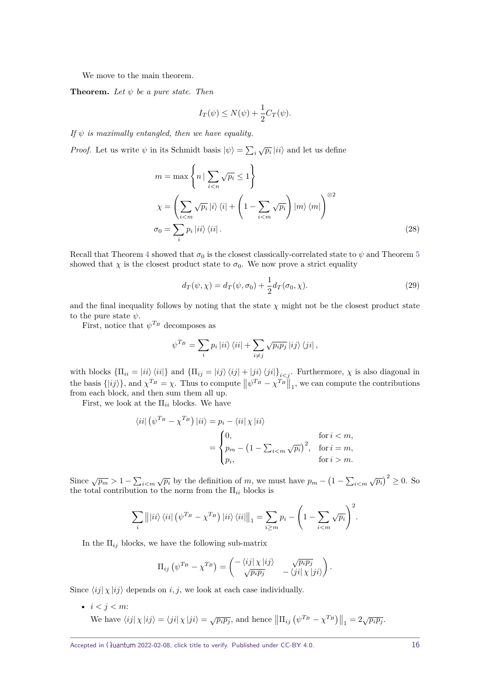We move to the main theorem.

**Theorem.** Let  $\psi$  be a pure state. Then

$$
I_T(\psi) \le N(\psi) + \frac{1}{2}C_T(\psi).
$$

*If ψ is maximally entangled, then we have equality.*

*Proof.* Let us write  $\psi$  in its Schmidt basis  $|\psi\rangle = \sum_i \sqrt{p_i} |ii\rangle$  and let us define

$$
m = \max \left\{ n \mid \sum_{i < n} \sqrt{p_i} \le 1 \right\}
$$
\n
$$
\chi = \left( \sum_{i < m} \sqrt{p_i} \mid i \rangle \langle i \mid + \left( 1 - \sum_{i < m} \sqrt{p_i} \right) \mid m \rangle \langle m \mid \right)^{\otimes 2}
$$
\n
$$
\sigma_0 = \sum_i p_i \mid ii \rangle \langle ii \mid. \tag{28}
$$

Recall that Theorem [4](#page-6-1) showed that  $\sigma_0$  is the closest classically-correlated state to  $\psi$  and Theorem [5](#page-7-1) showed that  $\chi$  is the closest product state to  $\sigma_0$ . We now prove a strict equality

<span id="page-15-0"></span>
$$
d_T(\psi, \chi) = d_T(\psi, \sigma_0) + \frac{1}{2} d_T(\sigma_0, \chi).
$$
 (29)

and the final inequality follows by noting that the state  $\chi$  might not be the closest product state to the pure state  $\psi$ .

First, notice that  $\psi^{T_B}$  decomposes as

$$
\psi^{T_B} = \sum_i p_i |ii\rangle\langle ii| + \sum_{i \neq j} \sqrt{p_i p_j} |ij\rangle\langle ji|,
$$

with blocks  $\{\Pi_{ii} = |ii\rangle\langle ii|\}$  and  $\{\Pi_{ij} = |ij\rangle\langle ij| + |ji\rangle\langle ji|\}_{i < j}$ . Furthermore,  $\chi$  is also diagonal in the basis  $\{|ij\rangle\}$ , and  $\chi^{T_B} = \chi$ . Thus to compute  $\|\psi^{T_B} - \chi^{T_B}\|_1$ , we can compute the contributions from each block, and then sum them all up.

First, we look at the  $\Pi_{ii}$  blocks. We have

$$
\langle ii | \left( \psi^{T_B} - \chi^{T_B} \right) | ii \rangle = p_i - \langle ii | \chi | ii \rangle
$$
  
= 
$$
\begin{cases} 0, & \text{for } i < m, \\ p_m - \left( 1 - \sum_{i < m} \sqrt{p_i} \right)^2, & \text{for } i = m, \\ p_i, & \text{for } i > m. \end{cases}
$$

Since  $\sqrt{p_m} > 1 - \sum_{i \le m} \sqrt{p_i}$  by the definition of *m*, we must have  $p_m - \left(1 - \sum_{i \le m} \sqrt{p_i}\right)^2 \ge 0$ . So the total contribution to the norm from the  $\Pi_{ii}$  blocks is

$$
\sum_{i} \left\| |ii\rangle\langle ii| \left( \psi^{T_B} - \chi^{T_B} \right) |ii\rangle\langle ii| \right\|_1 = \sum_{i \ge m} p_i - \left( 1 - \sum_{i < m} \sqrt{p_i} \right)^2.
$$

In the  $\Pi_{ij}$  blocks, we have the following sub-matrix

$$
\Pi_{ij} \left( \psi^{T_B} - \chi^{T_B} \right) = \begin{pmatrix} -\langle ij | \chi | ij \rangle & \sqrt{p_i p_j} \\ \sqrt{p_i p_j} & -\langle ji | \chi | ji \rangle \end{pmatrix}.
$$

Since  $\langle i j | \chi | i j \rangle$  depends on *i, j*, we look at each case individually.

•  $i < j < m$ : We have  $\langle ij | \chi | ij \rangle = \langle ji | \chi | ji \rangle = \sqrt{p_i p_j}$ , and hence  $\left\| \Pi_{ij} \left( \psi^{T_B} - \chi^{T_B} \right) \right\|_1 = 2 \sqrt{p_i p_j}$ .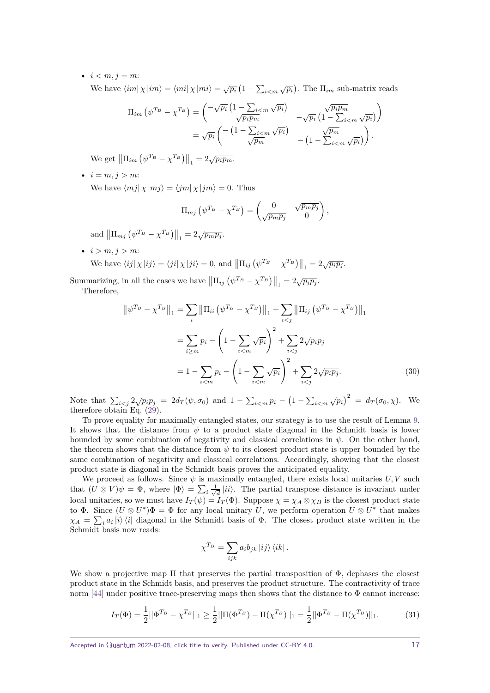•  $i < m, j = m$ :

We have  $\langle im | \chi | im \rangle = \langle mi | \chi | mi \rangle = \sqrt{p_i} (1 - \sum_{i \le m} \sqrt{p_i}).$  The  $\Pi_{im}$  sub-matrix reads

$$
\Pi_{im} \left( \psi^{T_B} - \chi^{T_B} \right) = \begin{pmatrix} -\sqrt{p_i} \left( 1 - \frac{\sum_{i < m} \sqrt{p_i}}{\sqrt{p_i p_m}} \right) & -\sqrt{p_i} \left( 1 - \frac{\sum_{i < m} \sqrt{p_i p_i}}{\sum_{i < m} \sqrt{p_i}} \right) \\ = \sqrt{p_i} \left( -\left( 1 - \frac{\sum_{i < m} \sqrt{p_i}}{\sqrt{p_m}} \right) & -\left( 1 - \frac{\sqrt{p_m}}{\sum_{i < m} \sqrt{p_i}} \right) \right) .\end{pmatrix}
$$

We get  $\left\| \Pi_{im} \left( \psi^{T_B} - \chi^{T_B} \right) \right\|_1 = 2\sqrt{p_i p_m}$ .

•  $i = m, j > m$ : We have  $\langle mj | \chi | mj \rangle = \langle jm | \chi | jm \rangle = 0$ . Thus

$$
\Pi_{mj} \left( \psi^{T_B} - \chi^{T_B} \right) = \begin{pmatrix} 0 & \sqrt{p_m p_j} \\ \sqrt{p_m p_j} & 0 \end{pmatrix},
$$

and  $\|\Pi_{mj} (\psi^{T_B} - \chi^{T_B})\|_1 = 2\sqrt{p_m p_j}$ .

•  $i > m, j > m$ :

We have 
$$
\langle ij | \chi | ij \rangle = \langle ji | \chi | ji \rangle = 0
$$
, and  $\left\| \Pi_{ij} \left( \psi^{T_B} - \chi^{T_B} \right) \right\|_1 = 2 \sqrt{p_i p_j}$ .

Summarizing, in all the cases we have  $\left\| \Pi_{ij} \left( \psi^{T_B} - \chi^{T_B} \right) \right\|_1 = 2\sqrt{p_i p_j}$ .

Therefore,

$$
\|\psi^{T_B} - \chi^{T_B}\|_1 = \sum_i \|\Pi_{ii} (\psi^{T_B} - \chi^{T_B})\|_1 + \sum_{i < j} \|\Pi_{ij} (\psi^{T_B} - \chi^{T_B})\|_1
$$
\n
$$
= \sum_{i \ge m} p_i - \left(1 - \sum_{i < m} \sqrt{p_i}\right)^2 + \sum_{i < j} 2\sqrt{p_i p_j}
$$
\n
$$
= 1 - \sum_{i < m} p_i - \left(1 - \sum_{i < m} \sqrt{p_i}\right)^2 + \sum_{i < j} 2\sqrt{p_i p_j}.
$$
\n(30)

Note that  $\sum_{i < j} 2\sqrt{p_i p_j} = 2d_T(\psi, \sigma_0)$  and  $1 - \sum_{i < m} p_i - (1 - \sum_{i < m} \sqrt{p_i})^2 = d_T(\sigma_0, \chi)$ . We therefore obtain Eq. [\(29\)](#page-15-0).

To prove equality for maximally entangled states, our strategy is to use the result of Lemma [9.](#page-13-2) It shows that the distance from  $\psi$  to a product state diagonal in the Schmidt basis is lower bounded by some combination of negativity and classical correlations in  $\psi$ . On the other hand, the theorem shows that the distance from  $\psi$  to its closest product state is upper bounded by the same combination of negativity and classical correlations. Accordingly, showing that the closest product state is diagonal in the Schmidt basis proves the anticipated equality.

We proceed as follows. Since  $\psi$  is maximally entangled, there exists local unitaries  $U, V$  such that  $(U \otimes V)\psi = \Phi$ , where  $|\Phi\rangle = \sum_i \frac{1}{\sqrt{i}}$  $\frac{d}{d}$  |ii<sup>i</sup>). The partial transpose distance is invariant under local unitaries, so we must have  $I_T(\psi) = I_T(\Phi)$ . Suppose  $\chi = \chi_A \otimes \chi_B$  is the closest product state to  $\Phi$ . Since  $(U \otimes U^*)\Phi = \Phi$  for any local unitary *U*, we perform operation  $U \otimes U^*$  that makes  $\chi_A = \sum_i a_i |i\rangle\langle i|$  diagonal in the Schmidt basis of  $\Phi$ . The closest product state written in the Schmidt basis now reads:

$$
\chi^{T_B} = \sum_{ijk} a_i b_{jk} |ij\rangle \langle ik|.
$$

We show a projective map  $\Pi$  that preserves the partial transposition of  $\Phi$ , dephases the closest product state in the Schmidt basis, and preserves the product structure. The contractivity of trace norm [\[44\]](#page-18-3) under positive trace-preserving maps then shows that the distance to  $\Phi$  cannot increase:

$$
I_T(\Phi) = \frac{1}{2} ||\Phi^{T_B} - \chi^{T_B}||_1 \ge \frac{1}{2} ||\Pi(\Phi^{T_B}) - \Pi(\chi^{T_B})||_1 = \frac{1}{2} ||\Phi^{T_B} - \Pi(\chi^{T_B})||_1.
$$
 (31)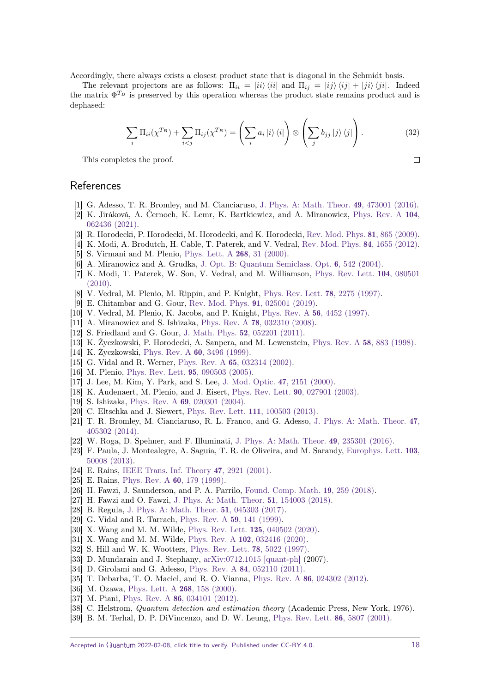Accordingly, there always exists a closest product state that is diagonal in the Schmidt basis.

The relevant projectors are as follows:  $\Pi_{ii} = |ii\rangle \langle ii|$  and  $\Pi_{ij} = |ij\rangle \langle ij| + |ji\rangle \langle ji|$ . Indeed the matrix  $\Phi^{T_B}$  is preserved by this operation whereas the product state remains product and is dephased:

$$
\sum_{i} \Pi_{ii}(\chi^{T_B}) + \sum_{i < j} \Pi_{ij}(\chi^{T_B}) = \left(\sum_{i} a_i \ket{i} \bra{i}\right) \otimes \left(\sum_{j} b_{jj} \ket{j} \bra{j}\right). \tag{32}
$$

This completes the proof.

 $\Box$ 

# **References**

- <span id="page-17-0"></span>[1] G. Adesso, T. R. Bromley, and M. Cianciaruso, [J. Phys. A: Math. Theor.](https://doi.org/10.1088/1751-8113/49/47/473001) 49, 473001 (2016).
- <span id="page-17-1"></span>[2] K. Jiráková, A. Černoch, K. Lemr, K. Bartkiewicz, and A. Miranowicz, [Phys. Rev. A](https://doi.org/10.1103/PhysRevA.104.062436) 104, [062436 \(2021\).](https://doi.org/10.1103/PhysRevA.104.062436)
- <span id="page-17-2"></span>[3] R. Horodecki, P. Horodecki, M. Horodecki, and K. Horodecki, [Rev. Mod. Phys.](https://doi.org/10.1103/RevModPhys.81.865) 81, 865 (2009).
- <span id="page-17-3"></span>[4] K. Modi, A. Brodutch, H. Cable, T. Paterek, and V. Vedral, [Rev. Mod. Phys.](https://doi.org/10.1103/RevModPhys.84.1655) 84, 1655 (2012).
- <span id="page-17-4"></span>[5] S. Virmani and M. Plenio, [Phys. Lett. A](https://doi.org/10.1016/s0375-9601(00)00157-2) 268, 31 (2000).
- <span id="page-17-5"></span>[6] A. Miranowicz and A. Grudka, [J. Opt. B: Quantum Semiclass. Opt.](https://doi.org/10.1088/1464-4266/6/12/009) 6, 542 (2004).
- <span id="page-17-6"></span>[7] K. Modi, T. Paterek, W. Son, V. Vedral, and M. Williamson, [Phys. Rev. Lett.](https://doi.org/10.1103/PhysRevLett.104.080501) 104, 080501 [\(2010\).](https://doi.org/10.1103/PhysRevLett.104.080501)
- <span id="page-17-7"></span>[8] V. Vedral, M. Plenio, M. Rippin, and P. Knight, [Phys. Rev. Lett.](https://doi.org/10.1103/PhysRevLett.78.2275) 78, 2275 (1997).
- <span id="page-17-8"></span>[9] E. Chitambar and G. Gour, [Rev. Mod. Phys.](https://doi.org/10.1103/RevModPhys.91.025001) 91, 025001 (2019).
- <span id="page-17-9"></span>[10] V. Vedral, M. Plenio, K. Jacobs, and P. Knight, Phys. Rev. A 56[, 4452 \(1997\).](https://doi.org/10.1103/PhysRevA.56.4452)
- <span id="page-17-10"></span>[11] A. Miranowicz and S. Ishizaka, Phys. Rev. A 78[, 032310 \(2008\).](https://doi.org/10.1103/PhysRevA.78.032310)
- <span id="page-17-11"></span>[12] S. Friedland and G. Gour, J. Math. Phys. 52[, 052201 \(2011\).](https://doi.org/10.1063/1.3591132)
- <span id="page-17-12"></span>[13] K. Życzkowski, P. Horodecki, A. Sanpera, and M. Lewenstein, [Phys. Rev. A](https://doi.org/10.1103/PhysRevA.58.883) 58, 883 (1998).
- [14] K. Życzkowski, Phys. Rev. A 60[, 3496 \(1999\).](https://doi.org/10.1103/PhysRevA.60.3496)
- <span id="page-17-14"></span>[15] G. Vidal and R. Werner, Phys. Rev. A 65[, 032314 \(2002\).](https://doi.org/10.1103/PhysRevA.65.032314)
- [16] M. Plenio, [Phys. Rev. Lett.](https://doi.org/10.1103/PhysRevLett.95.090503) **95**, 090503 (2005).
- <span id="page-17-13"></span>[17] J. Lee, M. Kim, Y. Park, and S. Lee, [J. Mod. Optic.](https://doi.org/10.1080/09500340008235138) 47, 2151 (2000).
- <span id="page-17-15"></span>[18] K. Audenaert, M. Plenio, and J. Eisert, [Phys. Rev. Lett.](https://doi.org/10.1103/PhysRevLett.90.027901) 90, 027901 (2003).
- <span id="page-17-16"></span>[19] S. Ishizaka, Phys. Rev. A 69[, 020301 \(2004\).](https://doi.org/10.1103/PhysRevA.69.020301)
- <span id="page-17-17"></span>[20] C. Eltschka and J. Siewert, [Phys. Rev. Lett.](https://doi.org/10.1103/PhysRevLett.111.100503) 111, 100503 (2013).
- <span id="page-17-18"></span>[21] T. R. Bromley, M. Cianciaruso, R. L. Franco, and G. Adesso, [J. Phys. A: Math. Theor.](https://doi.org/10.1088/1751-8113/47/40/405302) 47, [405302 \(2014\).](https://doi.org/10.1088/1751-8113/47/40/405302)
- <span id="page-17-19"></span>[22] W. Roga, D. Spehner, and F. Illuminati, [J. Phys. A: Math. Theor.](https://doi.org/10.1088/1751-8113/49/23/235301) 49, 235301 (2016).
- <span id="page-17-20"></span>[23] F. Paula, J. Montealegre, A. Saguia, T. R. de Oliveira, and M. Sarandy, [Europhys. Lett.](https://doi.org/10.1209/0295-5075/103/50008) 103, [50008 \(2013\).](https://doi.org/10.1209/0295-5075/103/50008)
- <span id="page-17-21"></span>[24] E. Rains, [IEEE Trans. Inf. Theory](https://doi.org/10.1109/18.959270) 47, 2921 (2001).
- <span id="page-17-22"></span>[25] E. Rains, [Phys. Rev. A](https://doi.org/10.1103/PhysRevA.60.179) **60**, 179 (1999).
- <span id="page-17-23"></span>[26] H. Fawzi, J. Saunderson, and P. A. Parrilo, [Found. Comp. Math.](https://doi.org/10.1007/s10208-018-9385-0) 19, 259 (2018).
- <span id="page-17-24"></span>[27] H. Fawzi and O. Fawzi, [J. Phys. A: Math. Theor.](https://doi.org/10.1088/1751-8121/aab285) 51, 154003 (2018).
- <span id="page-17-25"></span>[28] B. Regula, [J. Phys. A: Math. Theor.](https://doi.org/10.1088/1751-8121/aa9100) 51, 045303 (2017).
- <span id="page-17-26"></span>[29] G. Vidal and R. Tarrach, [Phys. Rev. A](https://doi.org/10.1103/PhysRevA.59.141) 59, 141 (1999).
- <span id="page-17-27"></span>[30] X. Wang and M. M. Wilde, [Phys. Rev. Lett.](https://doi.org/10.1103/PhysRevLett.125.040502) 125, 040502 (2020).
- <span id="page-17-28"></span>[31] X. Wang and M. M. Wilde, Phys. Rev. A 102[, 032416 \(2020\).](https://doi.org/10.1103/PhysRevA.102.032416)
- <span id="page-17-29"></span>[32] S. Hill and W. K. Wootters, [Phys. Rev. Lett.](https://doi.org/10.1103/physrevlett.78.5022) 78, 5022 (1997).
- <span id="page-17-30"></span>[33] D. Mundarain and J. Stephany, [arXiv:0712.1015 \[quant-ph\]](https://arxiv.org/abs/0712.1015) (2007).
- <span id="page-17-31"></span>[34] D. Girolami and G. Adesso, Phys. Rev. A 84[, 052110 \(2011\).](https://doi.org/10.1103/PhysRevA.84.052110)
- <span id="page-17-32"></span>[35] T. Debarba, T. O. Maciel, and R. O. Vianna, Phys. Rev. A 86[, 024302 \(2012\).](https://doi.org/10.1103/PhysRevA.86.024302)
- <span id="page-17-33"></span>[36] M. Ozawa, [Phys. Lett. A](https://doi.org/10.1016/s0375-9601(00)00171-7) **268**, 158 (2000).
- <span id="page-17-34"></span>[37] M. Piani, Phys. Rev. A **86**[, 034101 \(2012\).](https://doi.org/10.1103/PhysRevA.86.034101)
- <span id="page-17-35"></span>[38] C. Helstrom, *Quantum detection and estimation theory* (Academic Press, New York, 1976).
- <span id="page-17-36"></span>[39] B. M. Terhal, D. P. DiVincenzo, and D. W. Leung, [Phys. Rev. Lett.](https://doi.org/10.1103/PhysRevLett.86.5807) 86, 5807 (2001).